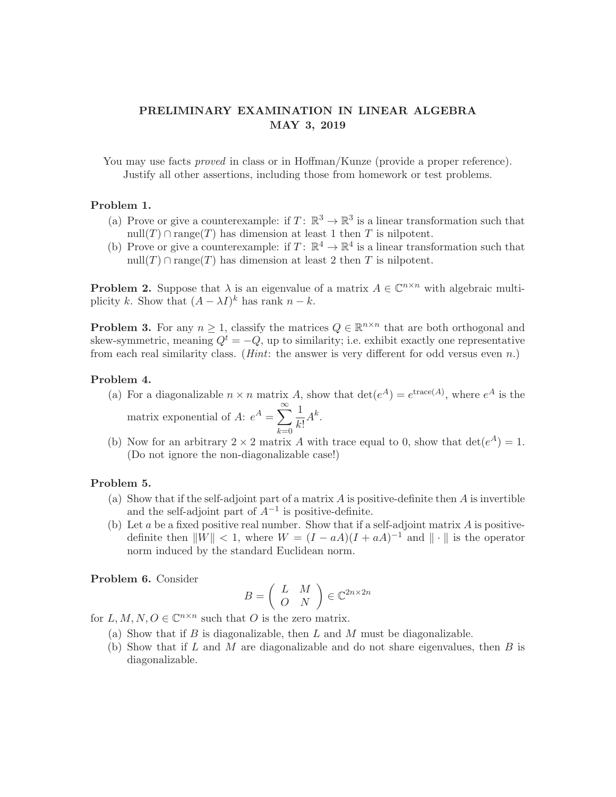# **PRELIMINARY EXAMINATION IN LINEAR ALGEBRA MAY 3, 2019**

You may use facts *proved* in class or in Hoffman/Kunze (provide a proper reference). Justify all other assertions, including those from homework or test problems.

## **Problem 1.**

- (a) Prove or give a counterexample: if  $T: \mathbb{R}^3 \to \mathbb{R}^3$  is a linear transformation such that  $null(T) \cap range(T)$  has dimension at least 1 then T is nilpotent.
- (b) Prove or give a counterexample: if  $T: \mathbb{R}^4 \to \mathbb{R}^4$  is a linear transformation such that  $null(T) \cap range(T)$  has dimension at least 2 then T is nilpotent.

**Problem 2.** Suppose that  $\lambda$  is an eigenvalue of a matrix  $A \in \mathbb{C}^{n \times n}$  with algebraic multiplicity k. Show that  $(A - \lambda I)^k$  has rank  $n - k$ .

**Problem 3.** For any  $n \geq 1$ , classify the matrices  $Q \in \mathbb{R}^{n \times n}$  that are both orthogonal and skew-symmetric, meaning  $Q^t = -Q$ , up to similarity; i.e. exhibit exactly one representative from each real similarity class. (*Hint*: the answer is very different for odd versus even  $n$ .)

#### **Problem 4.**

- (a) For a diagonalizable  $n \times n$  matrix A, show that  $\det(e^A) = e^{i \text{trace}(A)}$ , where  $e^A$  is the matrix exponential of A:  $e^A = \sum_{n=1}^{\infty}$  $k=0$ 1  $\frac{1}{k!}A^k$ .
- (b) Now for an arbitrary  $2 \times 2$  matrix A with trace equal to 0, show that  $\det(e^A) = 1$ . (Do not ignore the non-diagonalizable case!)

#### **Problem 5.**

- (a) Show that if the self-adjoint part of a matrix  $A$  is positive-definite then  $A$  is invertible and the self-adjoint part of  $A^{-1}$  is positive-definite.
- (b) Let a be a fixed positive real number. Show that if a self-adjoint matrix  $\vec{A}$  is positivedefinite then  $||W|| < 1$ , where  $W = (I - aA)(I + aA)^{-1}$  and  $|| \cdot ||$  is the operator norm induced by the standard Euclidean norm.

**Problem 6.** Consider

$$
B = \left(\begin{array}{cc} L & M \\ O & N \end{array}\right) \in \mathbb{C}^{2n \times 2n}
$$

for  $L, M, N, O \in \mathbb{C}^{n \times n}$  such that O is the zero matrix.

- (a) Show that if  $B$  is diagonalizable, then  $L$  and  $M$  must be diagonalizable.
- (b) Show that if  $L$  and  $M$  are diagonalizable and do not share eigenvalues, then  $B$  is diagonalizable.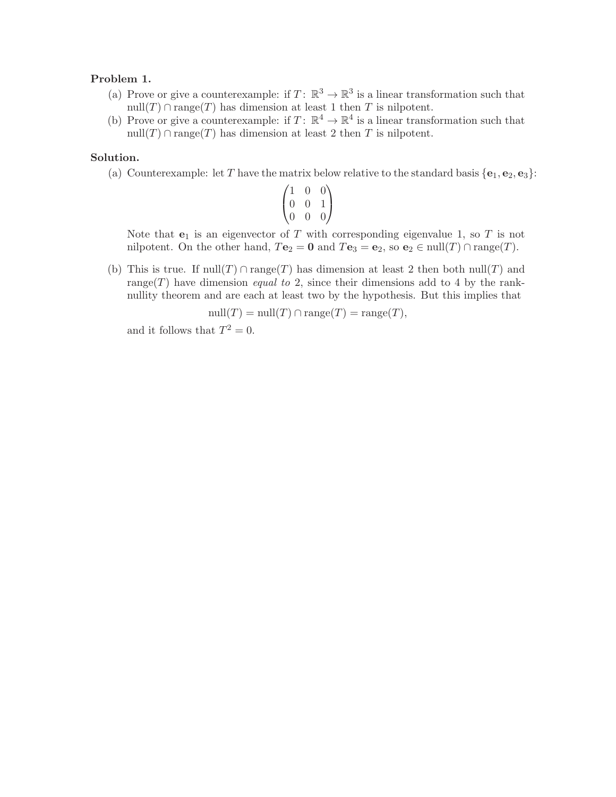# **Problem 1.**

- (a) Prove or give a counterexample: if  $T: \mathbb{R}^3 \to \mathbb{R}^3$  is a linear transformation such that null(T) ∩ range(T) has dimension at least 1 then T is nilpotent.
- (b) Prove or give a counterexample: if  $T: \mathbb{R}^4 \to \mathbb{R}^4$  is a linear transformation such that  $null(T) \cap range(T)$  has dimension at least 2 then T is nilpotent.

# **Solution.**

(a) Counterexample: let T have the matrix below relative to the standard basis  $\{e_1, e_2, e_3\}$ :

$$
\begin{pmatrix} 1 & 0 & 0 \\ 0 & 0 & 1 \\ 0 & 0 & 0 \end{pmatrix}
$$

Note that  $e_1$  is an eigenvector of T with corresponding eigenvalue 1, so T is not nilpotent. On the other hand,  $T\mathbf{e}_2 = \mathbf{0}$  and  $T\mathbf{e}_3 = \mathbf{e}_2$ , so  $\mathbf{e}_2 \in \text{null}(T) \cap \text{range}(T)$ .

(b) This is true. If  $null(T) \cap range(T)$  has dimension at least 2 then both  $null(T)$  and range(T) have dimension *equal to* 2, since their dimensions add to 4 by the ranknullity theorem and are each at least two by the hypothesis. But this implies that

$$
\text{null}(T) = \text{null}(T) \cap \text{range}(T) = \text{range}(T),
$$

and it follows that  $T^2 = 0$ .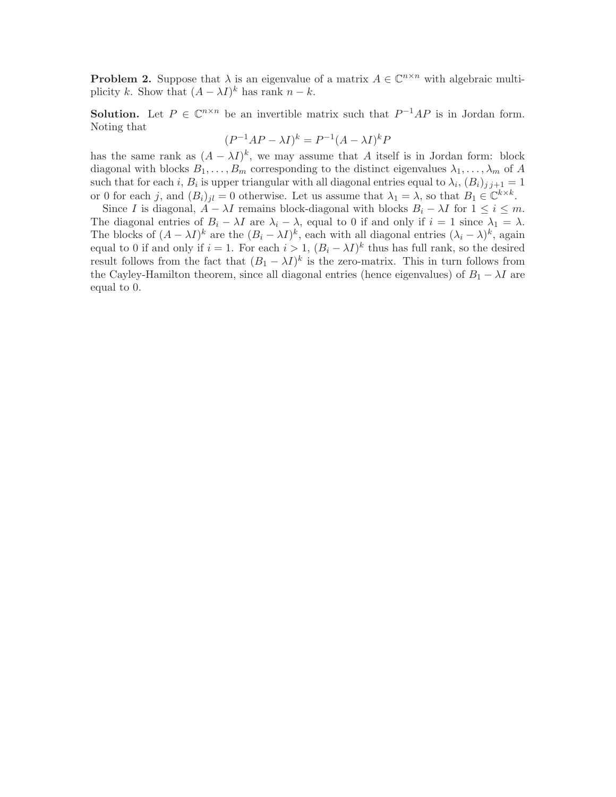**Problem 2.** Suppose that  $\lambda$  is an eigenvalue of a matrix  $A \in \mathbb{C}^{n \times n}$  with algebraic multiplicity k. Show that  $(A - \lambda I)^k$  has rank  $n - k$ .

**Solution.** Let  $P \in \mathbb{C}^{n \times n}$  be an invertible matrix such that  $P^{-1}AP$  is in Jordan form. Noting that

$$
(P^{-1}AP - \lambda I)^k = P^{-1}(A - \lambda I)^k P
$$

has the same rank as  $(A - \lambda I)^k$ , we may assume that A itself is in Jordan form: block diagonal with blocks  $B_1, \ldots, B_m$  corresponding to the distinct eigenvalues  $\lambda_1, \ldots, \lambda_m$  of A such that for each i,  $B_i$  is upper triangular with all diagonal entries equal to  $\lambda_i$ ,  $(B_i)_{i,i+1} = 1$ or 0 for each j, and  $(B_i)_{jl} = 0$  otherwise. Let us assume that  $\lambda_1 = \lambda$ , so that  $B_1 \in \mathbb{C}^{k \times k}$ .

Since I is diagonal,  $A - \lambda I$  remains block-diagonal with blocks  $B_i - \lambda I$  for  $1 \le i \le m$ . The diagonal entries of  $B_i - \lambda I$  are  $\lambda_i - \lambda$ , equal to 0 if and only if  $i = 1$  since  $\lambda_1 = \lambda$ . The blocks of  $(A - \lambda I)^k$  are the  $(B_i - \lambda I)^k$ , each with all diagonal entries  $(\lambda_i - \lambda)^k$ , again equal to 0 if and only if  $i = 1$ . For each  $i > 1$ ,  $(B_i - \lambda I)^k$  thus has full rank, so the desired result follows from the fact that  $(B_1 - \lambda I)^k$  is the zero-matrix. This in turn follows from the Cayley-Hamilton theorem, since all diagonal entries (hence eigenvalues) of  $B_1 - \lambda I$  are equal to 0.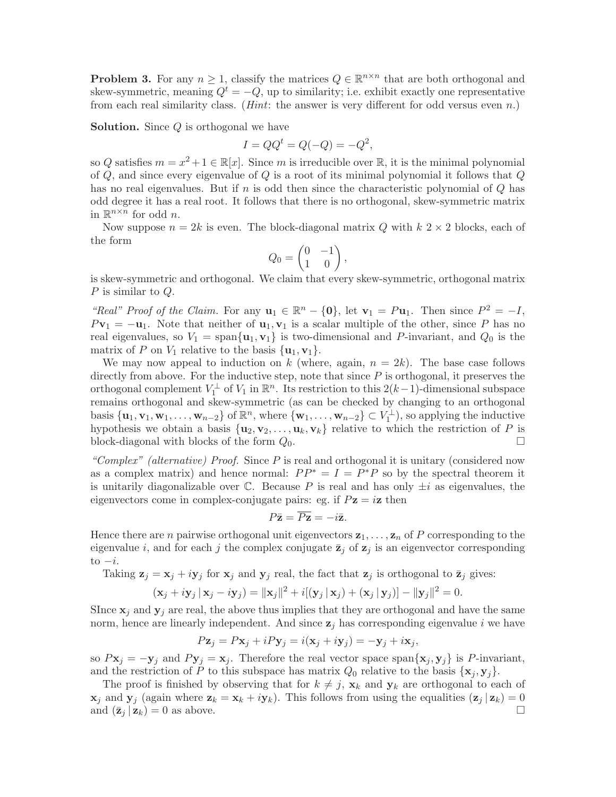**Problem 3.** For any  $n \geq 1$ , classify the matrices  $Q \in \mathbb{R}^{n \times n}$  that are both orthogonal and skew-symmetric, meaning  $Q^t = -Q$ , up to similarity; i.e. exhibit exactly one representative from each real similarity class. (*Hint*: the answer is very different for odd versus even  $n$ .)

**Solution.** Since Q is orthogonal we have

$$
I = QQt = Q(-Q) = -Q2,
$$

so Q satisfies  $m = x^2 + 1 \in \mathbb{R}[x]$ . Since m is irreducible over  $\mathbb{R}$ , it is the minimal polynomial of  $Q$ , and since every eigenvalue of  $Q$  is a root of its minimal polynomial it follows that  $Q$ has no real eigenvalues. But if n is odd then since the characteristic polynomial of  $Q$  has odd degree it has a real root. It follows that there is no orthogonal, skew-symmetric matrix in  $\mathbb{R}^{n \times n}$  for odd *n*.

Now suppose  $n = 2k$  is even. The block-diagonal matrix Q with  $k \geq 2$  blocks, each of the form

$$
Q_0 = \begin{pmatrix} 0 & -1 \\ 1 & 0 \end{pmatrix},
$$

is skew-symmetric and orthogonal. We claim that every skew-symmetric, orthogonal matrix P is similar to Q.

"Real" Proof of the Claim. For any  $\mathbf{u}_1 \in \mathbb{R}^n - \{0\}$ , let  $\mathbf{v}_1 = P\mathbf{u}_1$ . Then since  $P^2 = -I$ ,  $P\mathbf{v}_1 = -\mathbf{u}_1$ . Note that neither of  $\mathbf{u}_1, \mathbf{v}_1$  is a scalar multiple of the other, since P has no real eigenvalues, so  $V_1 = \text{span}\{\mathbf{u}_1, \mathbf{v}_1\}$  is two-dimensional and P-invariant, and  $Q_0$  is the matrix of P on  $V_1$  relative to the basis  $\{u_1, v_1\}.$ 

We may now appeal to induction on k (where, again,  $n = 2k$ ). The base case follows directly from above. For the inductive step, note that since  $P$  is orthogonal, it preserves the orthogonal complement  $V_1^{\perp}$  of  $V_1$  in  $\mathbb{R}^n$ . Its restriction to this  $2(k-1)$ -dimensional subspace remains orthogonal and skew-symmetric (as can be checked by changing to an orthogonal basis  ${\mathbf{u}_1, \mathbf{v}_1, \mathbf{w}_1, \ldots, \mathbf{w}_{n-2}}$  of  $\mathbb{R}^n$ , where  ${\mathbf{w}_1, \ldots, \mathbf{w}_{n-2}} \subset V_1^{\perp}$ , so applying the inductive hypothesis we obtain a basis  $\{u_2, v_2, \ldots, u_k, v_k\}$  relative to which the restriction of P is block-diagonal with blocks of the form  $Q_0$ .  $\Box$ 

"Complex" (alternative) Proof. Since  $P$  is real and orthogonal it is unitary (considered now as a complex matrix) and hence normal:  $PP^* = I = P^*P$  so by the spectral theorem it is unitarily diagonalizable over  $\mathbb C$ . Because P is real and has only  $\pm i$  as eigenvalues, the eigenvectors come in complex-conjugate pairs: eg. if  $Pz = iz$  then

$$
P\bar{\mathbf{z}} = \overline{P\mathbf{z}} = -i\bar{\mathbf{z}}.
$$

Hence there are *n* pairwise orthogonal unit eigenvectors  $z_1, \ldots, z_n$  of P corresponding to the eigenvalue i, and for each j the complex conjugate  $\bar{z}_j$  of  $z_j$  is an eigenvector corresponding to  $-i$ .

Taking  $z_j = x_j + iy_j$  for  $x_j$  and  $y_j$  real, the fact that  $z_j$  is orthogonal to  $\bar{z}_j$  gives:

$$
(\mathbf{x}_j + iy_j \,|\, \mathbf{x}_j - iy_j) = \|\mathbf{x}_j\|^2 + i[(\mathbf{y}_j \,|\, \mathbf{x}_j) + (\mathbf{x}_j \,|\, \mathbf{y}_j)] - \|\mathbf{y}_j\|^2 = 0.
$$

Since  $\mathbf{x}_i$  and  $\mathbf{y}_i$  are real, the above thus implies that they are orthogonal and have the same norm, hence are linearly independent. And since  $z_j$  has corresponding eigenvalue i we have

$$
P\mathbf{z}_j = P\mathbf{x}_j + iPy_j = i(\mathbf{x}_j + i\mathbf{y}_j) = -\mathbf{y}_j + i\mathbf{x}_j,
$$

so  $P\mathbf{x}_j = -\mathbf{y}_j$  and  $P\mathbf{y}_j = \mathbf{x}_j$ . Therefore the real vector space span $\{\mathbf{x}_j, \mathbf{y}_j\}$  is P-invariant, and the restriction of P to this subspace has matrix  $Q_0$  relative to the basis  $\{x_j, y_j\}$ .

The proof is finished by observing that for  $k \neq j$ ,  $\mathbf{x}_k$  and  $\mathbf{y}_k$  are orthogonal to each of  $\mathbf{x}_j$  and  $\mathbf{y}_j$  (again where  $\mathbf{z}_k = \mathbf{x}_k + i\mathbf{y}_k$ ). This follows from using the equalities  $(\mathbf{z}_j | \mathbf{z}_k) = 0$  and  $(\mathbf{z}_i | \mathbf{z}_k) = 0$  as above. and  $(\bar{\mathbf{z}}_i | \mathbf{z}_k) = 0$  as above.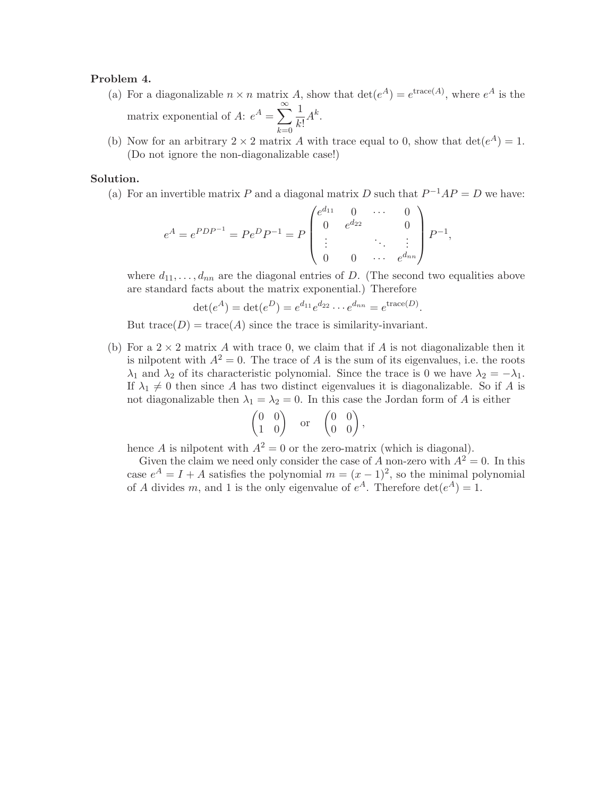### **Problem 4.**

- (a) For a diagonalizable  $n \times n$  matrix A, show that  $\det(e^A) = e^{i \text{trace}(A)}$ , where  $e^A$  is the matrix exponential of A:  $e^A = \sum_{n=1}^{\infty}$  $k=0$ 1  $\frac{1}{k!}A^k$ .
- (b) Now for an arbitrary  $2 \times 2$  matrix A with trace equal to 0, show that  $\det(e^A) = 1$ . (Do not ignore the non-diagonalizable case!)

#### **Solution.**

(a) For an invertible matrix P and a diagonal matrix D such that  $P^{-1}AP = D$  we have:

$$
e^{A} = e^{PDP^{-1}} = Pe^{D}P^{-1} = P \begin{pmatrix} e^{d_{11}} & 0 & \cdots & 0 \\ 0 & e^{d_{22}} & & 0 \\ \vdots & & \ddots & \vdots \\ 0 & 0 & \cdots & e^{d_{nn}} \end{pmatrix} P^{-1},
$$

where  $d_{11}, \ldots, d_{nn}$  are the diagonal entries of D. (The second two equalities above are standard facts about the matrix exponential.) Therefore

$$
\det(e^A) = \det(e^D) = e^{d_{11}} e^{d_{22}} \cdots e^{d_{nn}} = e^{\text{trace}(D)}.
$$

But trace( $D$ ) = trace( $A$ ) since the trace is similarity-invariant.

(b) For a  $2 \times 2$  matrix A with trace 0, we claim that if A is not diagonalizable then it is nilpotent with  $A^2 = 0$ . The trace of A is the sum of its eigenvalues, i.e. the roots  $\lambda_1$  and  $\lambda_2$  of its characteristic polynomial. Since the trace is 0 we have  $\lambda_2 = -\lambda_1$ . If  $\lambda_1 \neq 0$  then since A has two distinct eigenvalues it is diagonalizable. So if A is not diagonalizable then  $\lambda_1 = \lambda_2 = 0$ . In this case the Jordan form of A is either

$$
\begin{pmatrix} 0 & 0 \\ 1 & 0 \end{pmatrix} \quad \text{or} \quad \begin{pmatrix} 0 & 0 \\ 0 & 0 \end{pmatrix}
$$

hence A is nilpotent with  $A^2 = 0$  or the zero-matrix (which is diagonal).

Given the claim we need only consider the case of A non-zero with  $A^2 = 0$ . In this case  $e^A = I + A$  satisfies the polynomial  $m = (x - 1)^2$ , so the minimal polynomial of A divides m, and 1 is the only eigenvalue of  $e^A$ . Therefore  $\det(e^A) = 1$ .

,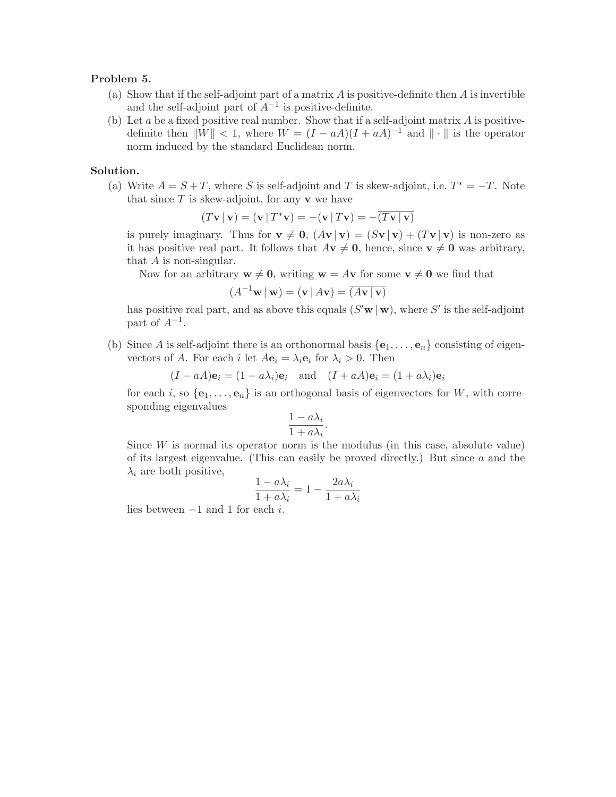## **Problem 5.**

- (a) Show that if the self-adjoint part of a matrix  $A$  is positive-definite then  $A$  is invertible and the self-adjoint part of  $A^{-1}$  is positive-definite.
- (b) Let  $a$  be a fixed positive real number. Show that if a self-adjoint matrix  $A$  is positivedefinite then  $||W|| < 1$ , where  $W = (I - aA)(I + aA)^{-1}$  and  $|| \cdot ||$  is the operator norm induced by the standard Euclidean norm.

# **Solution.**

(a) Write  $A = S + T$ , where S is self-adjoint and T is skew-adjoint, i.e.  $T^* = -T$ . Note that since  $T$  is skew-adjoint, for any  $\bf{v}$  we have

$$
(T\mathbf{v} | \mathbf{v}) = (\mathbf{v} | T^* \mathbf{v}) = -(\mathbf{v} | T\mathbf{v}) = -\overline{(T\mathbf{v} | \mathbf{v})}
$$

is purely imaginary. Thus for  $\mathbf{v} \neq 0$ ,  $(A\mathbf{v} | \mathbf{v}) = (S\mathbf{v} | \mathbf{v}) + (T\mathbf{v} | \mathbf{v})$  is non-zero as it has positive real part. It follows that  $A\mathbf{v} \neq \mathbf{0}$ , hence, since  $\mathbf{v} \neq \mathbf{0}$  was arbitrary, that  $A$  is non-singular.

Now for an arbitrary  $\mathbf{w} \neq \mathbf{0}$ , writing  $\mathbf{w} = A\mathbf{v}$  for some  $\mathbf{v} \neq \mathbf{0}$  we find that

$$
(A^{-1}\mathbf{w} \,|\, \mathbf{w}) = (\mathbf{v} \,|\, A\mathbf{v}) = \overline{(A\mathbf{v} \,|\, \mathbf{v})}
$$

has positive real part, and as above this equals  $(S' \mathbf{w} | \mathbf{w})$ , where S' is the self-adjoint part of  $A^{-1}$ .

(b) Since A is self-adjoint there is an orthonormal basis  ${\bf e}_1,\ldots,{\bf e}_n$  consisting of eigenvectors of A. For each i let  $A\mathbf{e}_i = \lambda_i \mathbf{e}_i$  for  $\lambda_i > 0$ . Then

 $(I - aA)\mathbf{e}_i = (1 - a\lambda_i)\mathbf{e}_i$  and  $(I + aA)\mathbf{e}_i = (1 + a\lambda_i)\mathbf{e}_i$ 

for each i, so  $\{e_1,\ldots,e_n\}$  is an orthogonal basis of eigenvectors for W, with corresponding eigenvalues

$$
\frac{1 - a\lambda_i}{1 + a\lambda_i}.
$$

Since  $W$  is normal its operator norm is the modulus (in this case, absolute value) of its largest eigenvalue. (This can easily be proved directly.) But since  $a$  and the  $\lambda_i$  are both positive,

$$
\frac{1 - a\lambda_i}{1 + a\lambda_i} = 1 - \frac{2a\lambda_i}{1 + a\lambda_i}
$$

lies between <sup>−</sup>1 and 1 for each <sup>i</sup>.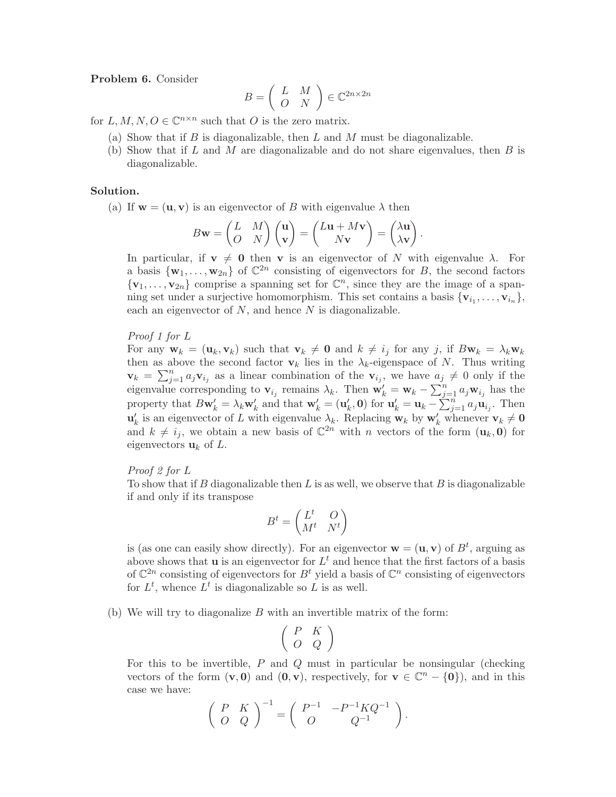**Problem 6.** Consider

$$
B = \left(\begin{array}{cc} L & M \\ O & N \end{array}\right) \in \mathbb{C}^{2n \times 2n}
$$

for L, M,  $N, Q \in \mathbb{C}^{n \times n}$  such that O is the zero matrix.

- (a) Show that if  $B$  is diagonalizable, then  $L$  and  $M$  must be diagonalizable.
- (b) Show that if L and M are diagonalizable and do not share eigenvalues, then  $B$  is diagonalizable.

#### **Solution.**

(a) If  $w = (u, v)$  is an eigenvector of B with eigenvalue  $\lambda$  then

$$
B\mathbf{w} = \begin{pmatrix} L & M \\ O & N \end{pmatrix} \begin{pmatrix} \mathbf{u} \\ \mathbf{v} \end{pmatrix} = \begin{pmatrix} L\mathbf{u} + M\mathbf{v} \\ N\mathbf{v} \end{pmatrix} = \begin{pmatrix} \lambda \mathbf{u} \\ \lambda \mathbf{v} \end{pmatrix}.
$$

In particular, if  $v \neq 0$  then v is an eigenvector of N with eigenvalue  $\lambda$ . For a basis  ${\bf w}_1,\ldots,{\bf w}_{2n}$  of  $\mathbb{C}^{2n}$  consisting of eigenvectors for B, the second factors  ${\bf v}_1,\ldots,{\bf v}_{2n}$  comprise a spanning set for  $\mathbb{C}^n$ , since they are the image of a spanning set under a surjective homomorphism. This set contains a basis  $\{v_{i_1}, \ldots, v_{i_n}\},\$ each an eigenvector of  $N$ , and hence  $N$  is diagonalizable.

#### Proof 1 for L

For any  $\mathbf{w}_k = (\mathbf{u}_k, \mathbf{v}_k)$  such that  $\mathbf{v}_k \neq \mathbf{0}$  and  $k \neq i_j$  for any j, if  $B\mathbf{w}_k = \lambda_k \mathbf{w}_k$ then as above the second factor  $\mathbf{v}_k$  lies in the  $\lambda_k$ -eigenspace of N. Thus writing  $\mathbf{v}_k = \sum_{j=1}^n a_j \mathbf{v}_{i_j}$  as a linear combination of the  $\mathbf{v}_{i_j}$ , we have  $a_j \neq 0$  only if the eigenvalue corresponding to **v**<sub>ij</sub> remains  $\lambda_k$ . Then  $\mathbf{w}'_k = \mathbf{w}_k - \sum_{j=1}^n a_j \mathbf{w}_{i_j}$  has the property that  $B\mathbf{w}'_k = \lambda_k \mathbf{w}'_k$  and that  $\mathbf{w}'_k = (\mathbf{u}'_k, \mathbf{0})$  for  $\mathbf{u}'_k = \mathbf{u}_k - \sum_{j=1}^n a_j \mathbf{u}_{i_j}$ . Then  $\mathbf{u}'_k$  is an eigenvector of L with eigenvalue  $\lambda_k$ . Replacing  $\mathbf{w}_k$  by  $\mathbf{w}'_k$  whenever  $\mathbf{v}_k \neq \mathbf{0}$ and  $k \neq i_j$ , we obtain a new basis of  $\mathbb{C}^{2n}$  with n vectors of the form  $(\mathbf{u}_k, \mathbf{0})$  for eigenvectors  $\mathbf{u}_k$  of L.

## Proof 2 for L

To show that if B diagonalizable then  $L$  is as well, we observe that  $B$  is diagonalizable if and only if its transpose

$$
B^t = \begin{pmatrix} L^t & O \\ M^t & N^t \end{pmatrix}
$$

is (as one can easily show directly). For an eigenvector  $\mathbf{w} = (\mathbf{u}, \mathbf{v})$  of  $B^t$ , arguing as above shows that **u** is an eigenvector for  $L^t$  and hence that the first factors of a basis of  $\mathbb{C}^{2n}$  consisting of eigenvectors for  $B<sup>t</sup>$  yield a basis of  $\mathbb{C}^n$  consisting of eigenvectors for  $L^t$ , whence  $\overrightarrow{L}^t$  is diagonalizable so  $\overrightarrow{L}$  is as well.

(b) We will try to diagonalize  $B$  with an invertible matrix of the form:

$$
\left(\begin{array}{ccc} P & K \\ O & Q \\ \end{array}\right)
$$

For this to be invertible,  $P$  and  $Q$  must in particular be nonsingular (checking vectors of the form  $(v, 0)$  and  $(0, v)$ , respectively, for  $v \in \mathbb{C}^n - \{0\}$ , and in this case we have:

$$
\left(\begin{array}{cc} P & K \\ O & Q \end{array}\right)^{-1} = \left(\begin{array}{cc} P^{-1} & -P^{-1}KQ^{-1} \\ O & Q^{-1} \end{array}\right).
$$